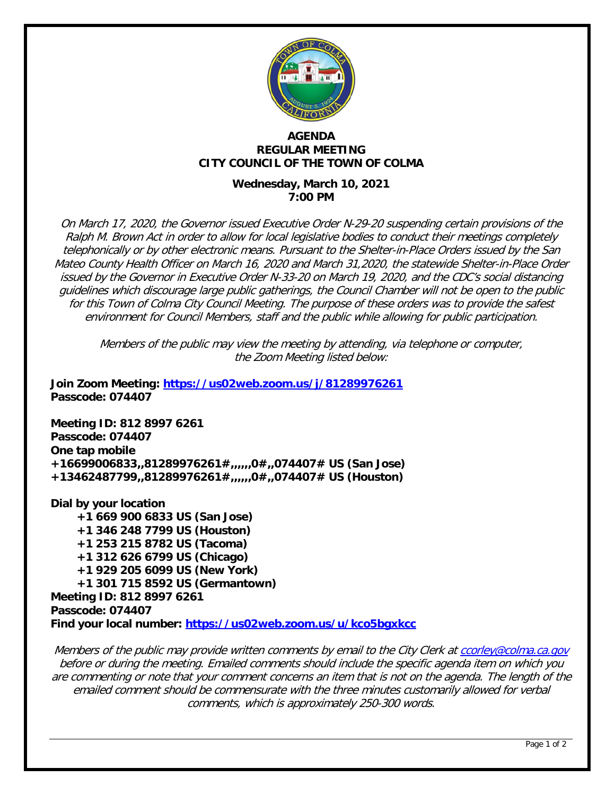

#### **AGENDA REGULAR MEETING CITY COUNCIL OF THE TOWN OF COLMA**

## **Wednesday, March 10, 2021 7:00 PM**

On March 17, 2020, the Governor issued Executive Order N-29-20 suspending certain provisions of the Ralph M. Brown Act in order to allow for local legislative bodies to conduct their meetings completely telephonically or by other electronic means. Pursuant to the Shelter-in-Place Orders issued by the San Mateo County Health Officer on March 16, 2020 and March 31,2020, the statewide Shelter-in-Place Order issued by the Governor in Executive Order N-33-20 on March 19, 2020, and the CDC's social distancing guidelines which discourage large public gatherings, the Council Chamber will not be open to the public for this Town of Colma City Council Meeting. The purpose of these orders was to provide the safest environment for Council Members, staff and the public while allowing for public participation.

Members of the public may view the meeting by attending, via telephone or computer, the Zoom Meeting listed below:

**Join Zoom Meeting:<https://us02web.zoom.us/j/81289976261> Passcode: 074407**

**Meeting ID: 812 8997 6261 Passcode: 074407 One tap mobile +16699006833,,81289976261#,,,,,,0#,,074407# US (San Jose) +13462487799,,81289976261#,,,,,,0#,,074407# US (Houston)**

**Dial by your location +1 669 900 6833 US (San Jose) +1 346 248 7799 US (Houston) +1 253 215 8782 US (Tacoma) +1 312 626 6799 US (Chicago) +1 929 205 6099 US (New York) +1 301 715 8592 US (Germantown) Meeting ID: 812 8997 6261 Passcode: 074407 Find your local number:<https://us02web.zoom.us/u/kco5bgxkcc>**

Members of the public may provide written comments by email to the City Clerk at [ccorley@colma.ca.gov](mailto:ccorley@colma.ca.gov) before or during the meeting. Emailed comments should include the specific agenda item on which you are commenting or note that your comment concerns an item that is not on the agenda. The length of the emailed comment should be commensurate with the three minutes customarily allowed for verbal comments, which is approximately 250-300 words.